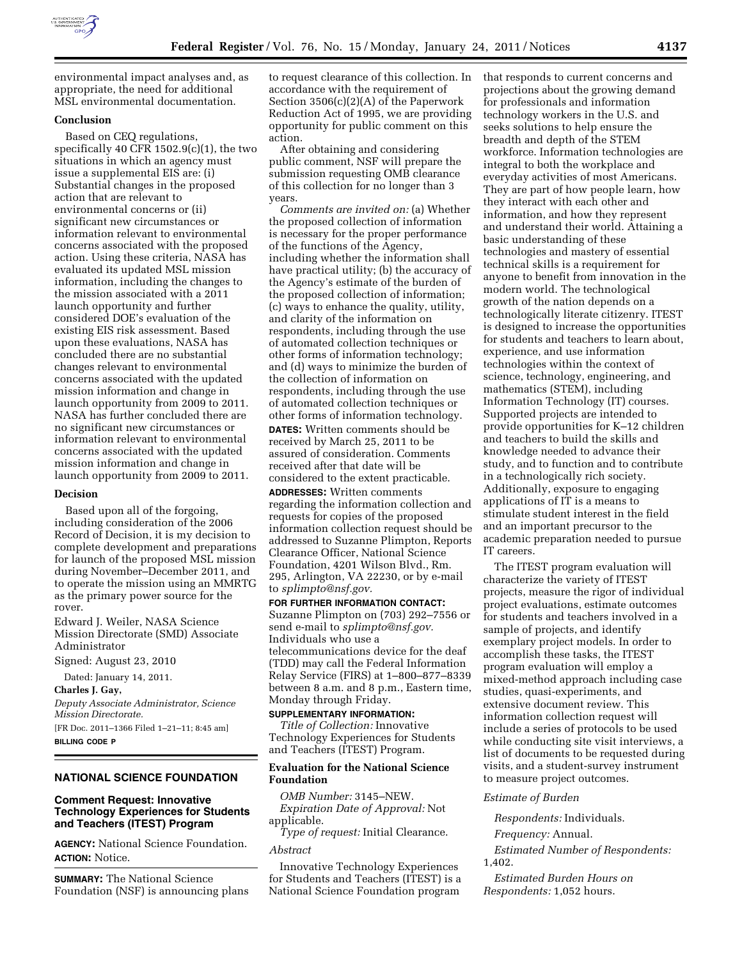

environmental impact analyses and, as appropriate, the need for additional MSL environmental documentation.

#### **Conclusion**

Based on CEQ regulations, specifically 40 CFR 1502.9(c)(1), the two situations in which an agency must issue a supplemental EIS are: (i) Substantial changes in the proposed action that are relevant to environmental concerns or (ii) significant new circumstances or information relevant to environmental concerns associated with the proposed action. Using these criteria, NASA has evaluated its updated MSL mission information, including the changes to the mission associated with a 2011 launch opportunity and further considered DOE's evaluation of the existing EIS risk assessment. Based upon these evaluations, NASA has concluded there are no substantial changes relevant to environmental concerns associated with the updated mission information and change in launch opportunity from 2009 to 2011. NASA has further concluded there are no significant new circumstances or information relevant to environmental concerns associated with the updated mission information and change in launch opportunity from 2009 to 2011.

#### **Decision**

Based upon all of the forgoing, including consideration of the 2006 Record of Decision, it is my decision to complete development and preparations for launch of the proposed MSL mission during November–December 2011, and to operate the mission using an MMRTG as the primary power source for the rover.

Edward J. Weiler, NASA Science Mission Directorate (SMD) Associate Administrator

Signed: August 23, 2010

Dated: January 14, 2011.

**Charles J. Gay,** 

*Deputy Associate Administrator, Science Mission Directorate.* 

[FR Doc. 2011–1366 Filed 1–21–11; 8:45 am] **BILLING CODE P** 

# **NATIONAL SCIENCE FOUNDATION**

# **Comment Request: Innovative Technology Experiences for Students and Teachers (ITEST) Program**

**AGENCY:** National Science Foundation. **ACTION:** Notice.

**SUMMARY:** The National Science Foundation (NSF) is announcing plans to request clearance of this collection. In accordance with the requirement of Section 3506(c)(2)(A) of the Paperwork Reduction Act of 1995, we are providing opportunity for public comment on this action.

After obtaining and considering public comment, NSF will prepare the submission requesting OMB clearance of this collection for no longer than 3 years.

*Comments are invited on:* (a) Whether the proposed collection of information is necessary for the proper performance of the functions of the Agency, including whether the information shall have practical utility; (b) the accuracy of the Agency's estimate of the burden of the proposed collection of information; (c) ways to enhance the quality, utility, and clarity of the information on respondents, including through the use of automated collection techniques or other forms of information technology; and (d) ways to minimize the burden of the collection of information on respondents, including through the use of automated collection techniques or other forms of information technology.

**DATES:** Written comments should be received by March 25, 2011 to be assured of consideration. Comments received after that date will be considered to the extent practicable.

**ADDRESSES:** Written comments regarding the information collection and requests for copies of the proposed information collection request should be addressed to Suzanne Plimpton, Reports Clearance Officer, National Science Foundation, 4201 Wilson Blvd., Rm. 295, Arlington, VA 22230, or by e-mail to *[splimpto@nsf.gov.](mailto:splimpto@nsf.gov)* 

**FOR FURTHER INFORMATION CONTACT:**  Suzanne Plimpton on (703) 292–7556 or send e-mail to *[splimpto@nsf.gov.](mailto:splimpto@nsf.gov)*  Individuals who use a telecommunications device for the deaf (TDD) may call the Federal Information Relay Service (FIRS) at 1–800–877–8339 between 8 a.m. and 8 p.m., Eastern time, Monday through Friday.

#### **SUPPLEMENTARY INFORMATION:**

*Title of Collection:* Innovative Technology Experiences for Students and Teachers (ITEST) Program.

### **Evaluation for the National Science Foundation**

*OMB Number:* 3145–NEW. *Expiration Date of Approval:* Not applicable.

*Type of request:* Initial Clearance.

#### *Abstract*

Innovative Technology Experiences for Students and Teachers (ITEST) is a National Science Foundation program

that responds to current concerns and projections about the growing demand for professionals and information technology workers in the U.S. and seeks solutions to help ensure the breadth and depth of the STEM workforce. Information technologies are integral to both the workplace and everyday activities of most Americans. They are part of how people learn, how they interact with each other and information, and how they represent and understand their world. Attaining a basic understanding of these technologies and mastery of essential technical skills is a requirement for anyone to benefit from innovation in the modern world. The technological growth of the nation depends on a technologically literate citizenry. ITEST is designed to increase the opportunities for students and teachers to learn about, experience, and use information technologies within the context of science, technology, engineering, and mathematics (STEM), including Information Technology (IT) courses. Supported projects are intended to provide opportunities for K–12 children and teachers to build the skills and knowledge needed to advance their study, and to function and to contribute in a technologically rich society. Additionally, exposure to engaging applications of IT is a means to stimulate student interest in the field and an important precursor to the academic preparation needed to pursue IT careers.

The ITEST program evaluation will characterize the variety of ITEST projects, measure the rigor of individual project evaluations, estimate outcomes for students and teachers involved in a sample of projects, and identify exemplary project models. In order to accomplish these tasks, the ITEST program evaluation will employ a mixed-method approach including case studies, quasi-experiments, and extensive document review. This information collection request will include a series of protocols to be used while conducting site visit interviews, a list of documents to be requested during visits, and a student-survey instrument to measure project outcomes.

#### *Estimate of Burden*

*Respondents:* Individuals.

*Frequency:* Annual.

*Estimated Number of Respondents:*  1,402.

*Estimated Burden Hours on Respondents:* 1,052 hours.